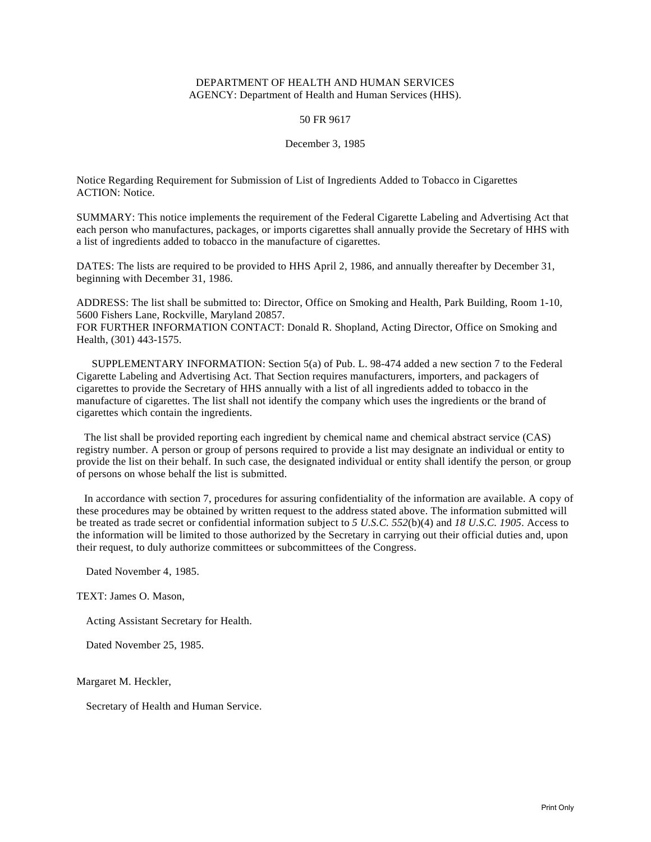# DEPARTMENT OF HEALTH AND HUMAN SERVICES AGENCY: Department of Health and Human Services (HHS).

## 50 FR 9617

### December 3, 1985

Notice Regarding Requirement for Submission of List of Ingredients Added to Tobacco in Cigarettes ACTION: Notice.

SUMMARY: This notice implements the requirement of the Federal Cigarette Labeling and Advertising Act that each person who manufactures, packages, or imports cigarettes shall annually provide the Secretary of HHS with a list of ingredients added to tobacco in the manufacture of cigarettes.

DATES: The lists are required to be provided to HHS April 2, 1986, and annually thereafter by December 31, beginning with December 31, 1986.

ADDRESS: The list shall be submitted to: Director, Office on Smoking and Health, Park Building, Room 1-10, 5600 Fishers Lane, Rockville, Maryland 20857.

FOR FURTHER INFORMATION CONTACT: Donald R. Shopland, Acting Director, Office on Smoking and Health, (301) 443-1575.

SUPPLEMENTARY INFORMATION: Section 5(a) of Pub. L. 98-474 added a new section 7 to the Federal Cigarette Labeling and Advertising Act. That Section requires manufacturers, importers, and packagers of cigarettes to provide the Secretary of HHS annually with a list of all ingredients added to tobacco in the manufacture of cigarettes. The list shall not identify the company which uses the ingredients or the brand of cigarettes which contain the ingredients.

The list shall be provided reporting each ingredient by chemical name and chemical abstract service (CAS) registry number. A person or group of persons required to provide a list may designate an individual or entity to provide the list on their behalf. In such case, the designated individual or entity shall identify the person, or group of persons on whose behalf the list is submitted.

In accordance with section 7, procedures for assuring confidentiality of the information are available. A copy of these procedures may be obtained by written request to the address stated above. The information submitted will be treated as trade secret or confidential information subject to *5 U.S.C. 552*(b)(4) and *18 U.S.C. 1905*. Access to the information will be limited to those authorized by the Secretary in carrying out their official duties and, upon their request, to duly authorize committees or subcommittees of the Congress.

Dated November 4, 1985.

TEXT: James O. Mason,

Acting Assistant Secretary for Health.

Dated November 25, 1985.

Margaret M. Heckler,

Secretary of Health and Human Service.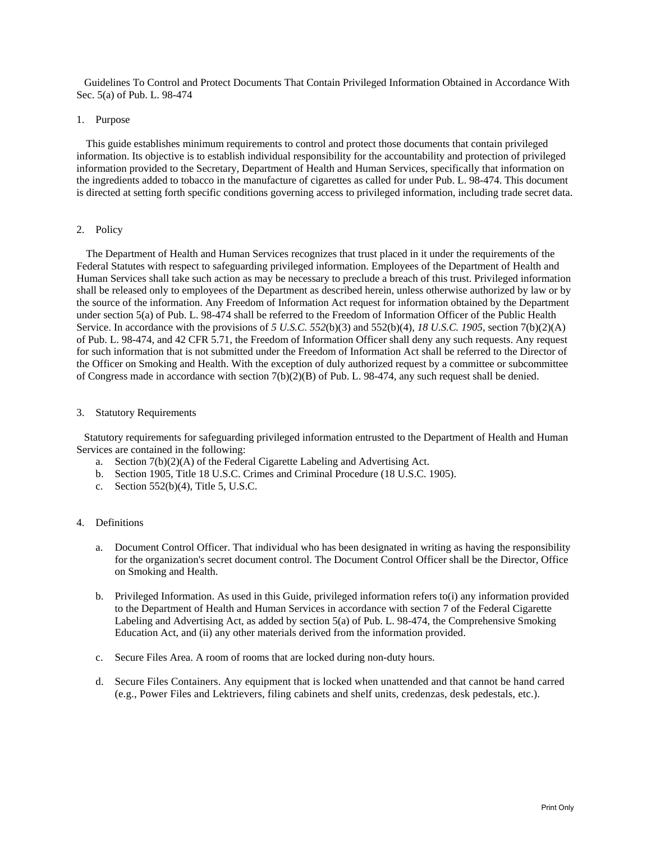Guidelines To Control and Protect Documents That Contain Privileged Information Obtained in Accordance With Sec. 5(a) of Pub. L. 98-474

### 1. Purpose

This guide establishes minimum requirements to control and protect those documents that contain privileged information. Its objective is to establish individual responsibility for the accountability and protection of privileged information provided to the Secretary, Department of Health and Human Services, specifically that information on the ingredients added to tobacco in the manufacture of cigarettes as called for under Pub. L. 98-474. This document is directed at setting forth specific conditions governing access to privileged information, including trade secret data.

### 2. Policy

The Department of Health and Human Services recognizes that trust placed in it under the requirements of the Federal Statutes with respect to safeguarding privileged information. Employees of the Department of Health and Human Services shall take such action as may be necessary to preclude a breach of this trust. Privileged information shall be released only to employees of the Department as described herein, unless otherwise authorized by law or by the source of the information. Any Freedom of Information Act request for information obtained by the Department under section 5(a) of Pub. L. 98-474 shall be referred to the Freedom of Information Officer of the Public Health Service. In accordance with the provisions of *5 U.S.C. 552*(b)(3) and 552(b)(4), *18 U.S.C. 1905*, section 7(b)(2)(A) of Pub. L. 98-474, and 42 CFR 5.71, the Freedom of Information Officer shall deny any such requests. Any request for such information that is not submitted under the Freedom of Information Act shall be referred to the Director of the Officer on Smoking and Health. With the exception of duly authorized request by a committee or subcommittee of Congress made in accordance with section 7(b)(2)(B) of Pub. L. 98-474, any such request shall be denied.

### 3. Statutory Requirements

Statutory requirements for safeguarding privileged information entrusted to the Department of Health and Human Services are contained in the following:

- a. Section 7(b)(2)(A) of the Federal Cigarette Labeling and Advertising Act.
- b. Section 1905, Title 18 U.S.C. Crimes and Criminal Procedure (18 U.S.C. 1905).
- c. Section 552(b)(4), Title 5, U.S.C.

### 4. Definitions

- a. Document Control Officer. That individual who has been designated in writing as having the responsibility for the organization's secret document control. The Document Control Officer shall be the Director, Office on Smoking and Health.
- b. Privileged Information. As used in this Guide, privileged information refers to(i) any information provided to the Department of Health and Human Services in accordance with section 7 of the Federal Cigarette Labeling and Advertising Act, as added by section 5(a) of Pub. L. 98-474, the Comprehensive Smoking Education Act, and (ii) any other materials derived from the information provided.
- c. Secure Files Area. A room of rooms that are locked during non-duty hours.
- d. Secure Files Containers. Any equipment that is locked when unattended and that cannot be hand carred (e.g., Power Files and Lektrievers, filing cabinets and shelf units, credenzas, desk pedestals, etc.).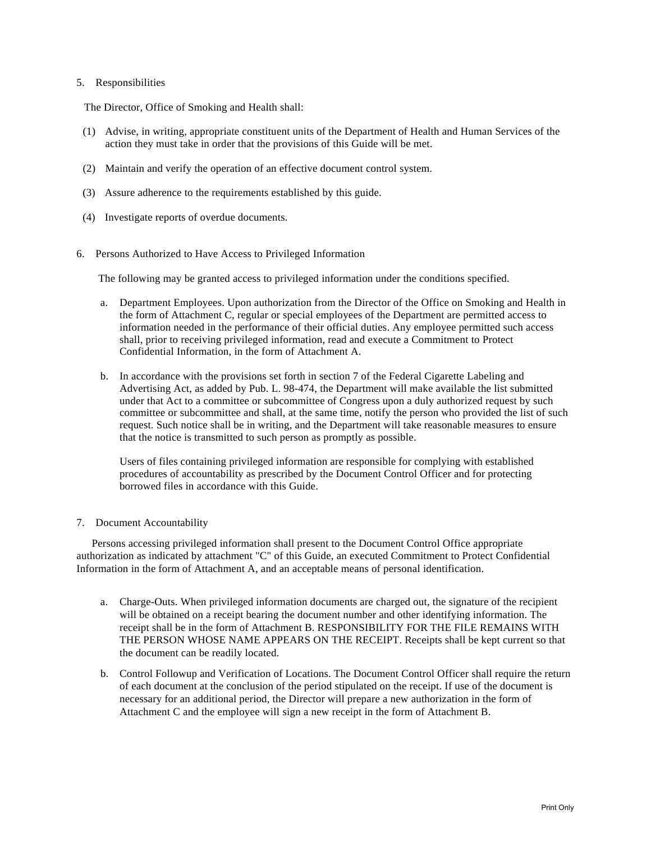# 5. Responsibilities

The Director, Office of Smoking and Health shall:

- (1) Advise, in writing, appropriate constituent units of the Department of Health and Human Services of the action they must take in order that the provisions of this Guide will be met.
- (2) Maintain and verify the operation of an effective document control system.
- (3) Assure adherence to the requirements established by this guide.
- (4) Investigate reports of overdue documents.
- 6. Persons Authorized to Have Access to Privileged Information

The following may be granted access to privileged information under the conditions specified.

- a. Department Employees. Upon authorization from the Director of the Office on Smoking and Health in the form of Attachment C, regular or special employees of the Department are permitted access to information needed in the performance of their official duties. Any employee permitted such access shall, prior to receiving privileged information, read and execute a Commitment to Protect Confidential Information, in the form of Attachment A.
- b. In accordance with the provisions set forth in section 7 of the Federal Cigarette Labeling and Advertising Act, as added by Pub. L. 98-474, the Department will make available the list submitted under that Act to a committee or subcommittee of Congress upon a duly authorized request by such committee or subcommittee and shall, at the same time, notify the person who provided the list of such request. Such notice shall be in writing, and the Department will take reasonable measures to ensure that the notice is transmitted to such person as promptly as possible.

Users of files containing privileged information are responsible for complying with established procedures of accountability as prescribed by the Document Control Officer and for protecting borrowed files in accordance with this Guide.

7. Document Accountability

Persons accessing privileged information shall present to the Document Control Office appropriate authorization as indicated by attachment "C" of this Guide, an executed Commitment to Protect Confidential Information in the form of Attachment A, and an acceptable means of personal identification.

- a. Charge-Outs. When privileged information documents are charged out, the signature of the recipient will be obtained on a receipt bearing the document number and other identifying information. The receipt shall be in the form of Attachment B. RESPONSIBILITY FOR THE FILE REMAINS WITH THE PERSON WHOSE NAME APPEARS ON THE RECEIPT. Receipts shall be kept current so that the document can be readily located.
- b. Control Followup and Verification of Locations. The Document Control Officer shall require the return of each document at the conclusion of the period stipulated on the receipt. If use of the document is necessary for an additional period, the Director will prepare a new authorization in the form of Attachment C and the employee will sign a new receipt in the form of Attachment B.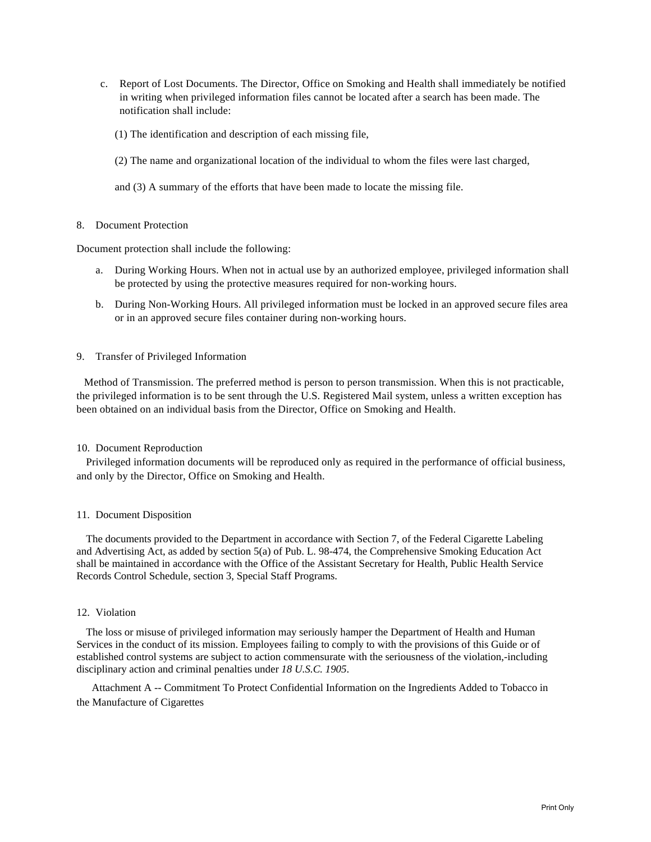- c. Report of Lost Documents. The Director, Office on Smoking and Health shall immediately be notified in writing when privileged information files cannot be located after a search has been made. The notification shall include:
	- (1) The identification and description of each missing file,
	- (2) The name and organizational location of the individual to whom the files were last charged,
	- and (3) A summary of the efforts that have been made to locate the missing file.

## 8. Document Protection

Document protection shall include the following:

- a. During Working Hours. When not in actual use by an authorized employee, privileged information shall be protected by using the protective measures required for non-working hours.
- b. During Non-Working Hours. All privileged information must be locked in an approved secure files area or in an approved secure files container during non-working hours.

### 9. Transfer of Privileged Information

Method of Transmission. The preferred method is person to person transmission. When this is not practicable, the privileged information is to be sent through the U.S. Registered Mail system, unless a written exception has been obtained on an individual basis from the Director, Office on Smoking and Health.

#### 10. Document Reproduction

Privileged information documents will be reproduced only as required in the performance of official business, and only by the Director, Office on Smoking and Health.

#### 11. Document Disposition

The documents provided to the Department in accordance with Section 7, of the Federal Cigarette Labeling and Advertising Act, as added by section 5(a) of Pub. L. 98-474, the Comprehensive Smoking Education Act shall be maintained in accordance with the Office of the Assistant Secretary for Health, Public Health Service Records Control Schedule, section 3, Special Staff Programs.

### 12. Violation

The loss or misuse of privileged information may seriously hamper the Department of Health and Human Services in the conduct of its mission. Employees failing to comply to with the provisions of this Guide or of established control systems are subject to action commensurate with the seriousness of the violation,-including disciplinary action and criminal penalties under *18 U.S.C. 1905*.

Attachment A -- Commitment To Protect Confidential Information on the Ingredients Added to Tobacco in the Manufacture of Cigarettes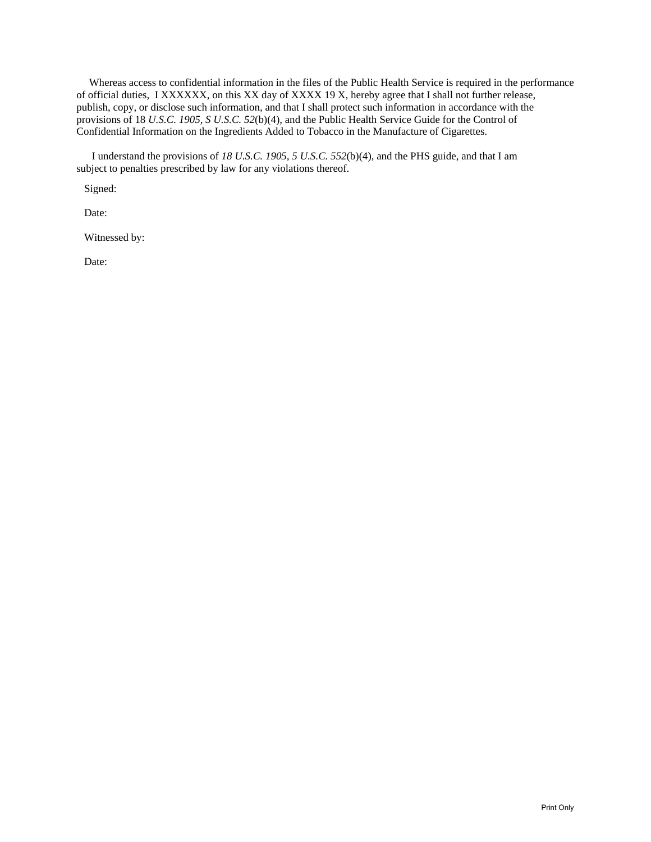Whereas access to confidential information in the files of the Public Health Service is required in the performance of official duties, I XXXXXX, on this XX day of XXXX 19 X, hereby agree that I shall not further release, publish, copy, or disclose such information, and that I shall protect such information in accordance with the provisions of 18 *U.S.C. 1905, S U.S.C. 52*(b)(4), and the Public Health Service Guide for the Control of Confidential Information on the Ingredients Added to Tobacco in the Manufacture of Cigarettes.

I understand the provisions of *18 U.S.C. 1905, 5 U.S.C. 552*(b)(4), and the PHS guide, and that I am subject to penalties prescribed by law for any violations thereof.

Signed:

Date:

Witnessed by:

Date: